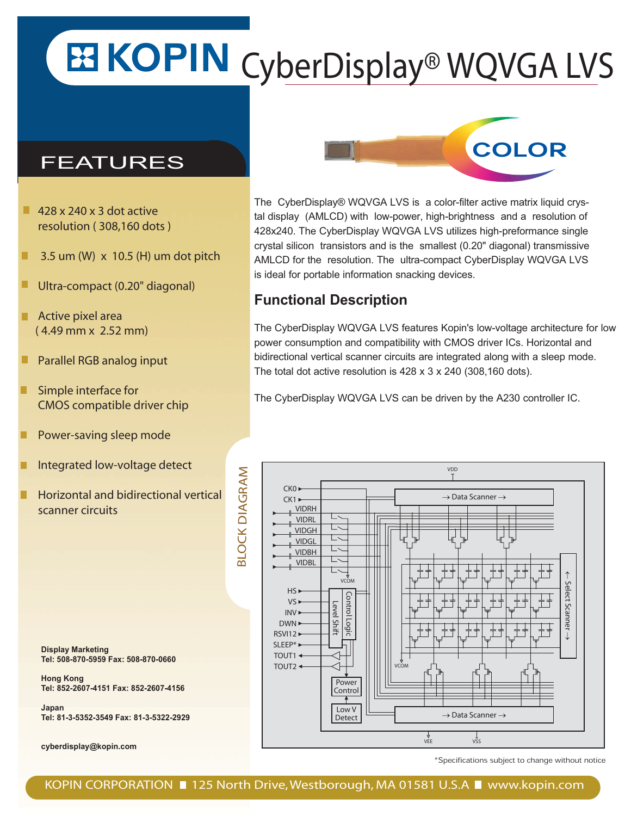## **ES KOPIN** CyberDisplay® WQVGA LVS

## FEATURES

- $\blacksquare$  428 x 240 x 3 dot active resolution ( 308,160 dots )
- 3.5 um (W) x 10.5 (H) um dot pitch
- Ultra-compact (0.20" diagonal)
- Active pixel area ( 4.49 mm x 2.52 mm)
- Parallel RGB analog input
- Simple interface for CMOS compatible driver chip
- Power-saving sleep mode
- Integrated low-voltage detect
- Horizontal and bidirectional vertical scanner circuits

BLOCK DIAGRAM

**BLOCK DIAGRAM** 

**Display Marketing Tel: 508-870-5959 Fax: 508-870-0660**

**Hong Kong Tel: 852-2607-4151 Fax: 852-2607-4156**

**Japan Tel: 81-3-5352-3549 Fax: 81-3-5322-2929**

**cyberdisplay@kopin.com**

The CyberDisplay® WQVGA LVS is a color-filter active matrix liquid crystal display (AMLCD) with low-power, high-brightness and a resolution of 428x240. The CyberDisplay WQVGA LVS utilizes high-preformance single crystal silicon transistors and is the smallest (0.20" diagonal) transmissive AMLCD for the resolution. The ultra-compact CyberDisplay WQVGA LVS is ideal for portable information snacking devices.

## **Functional Description**

The CyberDisplay WQVGA LVS features Kopin's low-voltage architecture for low power consumption and compatibility with CMOS driver ICs. Horizontal and bidirectional vertical scanner circuits are integrated along with a sleep mode. The total dot active resolution is 428 x 3 x 240 (308,160 dots).

The CyberDisplay WQVGA LVS can be driven by the A230 controller IC.



\*Specifications subject to change without notice